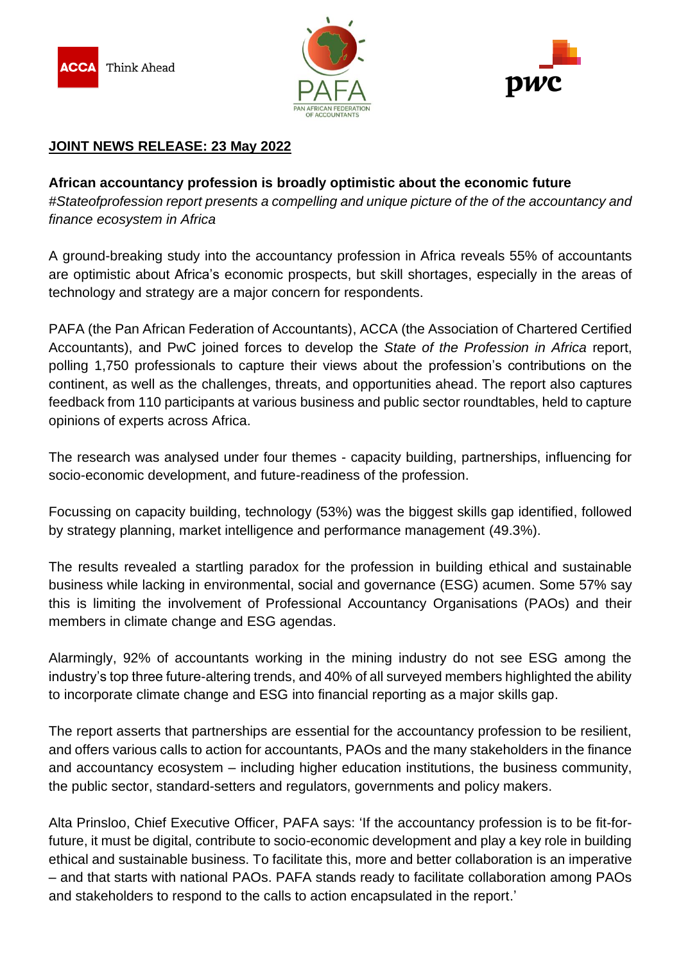





### **JOINT NEWS RELEASE: 23 May 2022**

**African accountancy profession is broadly optimistic about the economic future**  *#Stateofprofession report presents a compelling and unique picture of the of the accountancy and finance ecosystem in Africa* 

A ground-breaking study into the accountancy profession in Africa reveals 55% of accountants are optimistic about Africa's economic prospects, but skill shortages, especially in the areas of technology and strategy are a major concern for respondents.

PAFA (the Pan African Federation of Accountants), ACCA (the Association of Chartered Certified Accountants), and PwC joined forces to develop the *State of the Profession in Africa* report, polling 1,750 professionals to capture their views about the profession's contributions on the continent, as well as the challenges, threats, and opportunities ahead. The report also captures feedback from 110 participants at various business and public sector roundtables, held to capture opinions of experts across Africa.

The research was analysed under four themes - capacity building, partnerships, influencing for socio-economic development, and future-readiness of the profession.

Focussing on capacity building, technology (53%) was the biggest skills gap identified, followed by strategy planning, market intelligence and performance management (49.3%).

The results revealed a startling paradox for the profession in building ethical and sustainable business while lacking in environmental, social and governance (ESG) acumen. Some 57% say this is limiting the involvement of Professional Accountancy Organisations (PAOs) and their members in climate change and ESG agendas.

Alarmingly, 92% of accountants working in the mining industry do not see ESG among the industry's top three future-altering trends, and 40% of all surveyed members highlighted the ability to incorporate climate change and ESG into financial reporting as a major skills gap.

The report asserts that partnerships are essential for the accountancy profession to be resilient, and offers various calls to action for accountants, PAOs and the many stakeholders in the finance and accountancy ecosystem – including higher education institutions, the business community, the public sector, standard-setters and regulators, governments and policy makers.

Alta Prinsloo, Chief Executive Officer, PAFA says: 'If the accountancy profession is to be fit-forfuture, it must be digital, contribute to socio-economic development and play a key role in building ethical and sustainable business. To facilitate this, more and better collaboration is an imperative – and that starts with national PAOs. PAFA stands ready to facilitate collaboration among PAOs and stakeholders to respond to the calls to action encapsulated in the report.'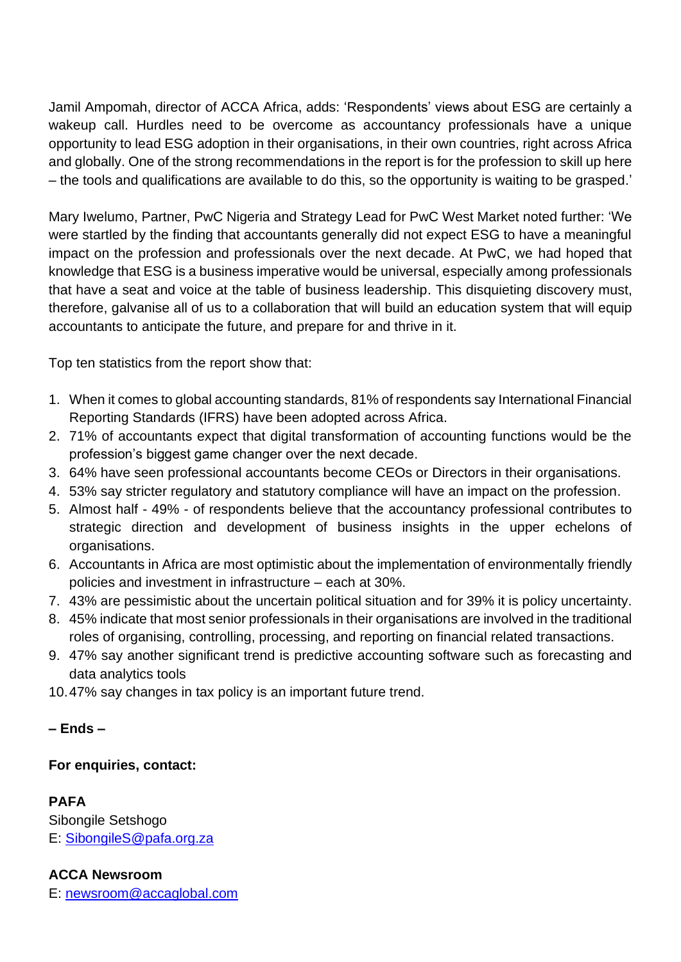Jamil Ampomah, director of ACCA Africa, adds: 'Respondents' views about ESG are certainly a wakeup call. Hurdles need to be overcome as accountancy professionals have a unique opportunity to lead ESG adoption in their organisations, in their own countries, right across Africa and globally. One of the strong recommendations in the report is for the profession to skill up here – the tools and qualifications are available to do this, so the opportunity is waiting to be grasped.'

Mary Iwelumo, Partner, PwC Nigeria and Strategy Lead for PwC West Market noted further: 'We were startled by the finding that accountants generally did not expect ESG to have a meaningful impact on the profession and professionals over the next decade. At PwC, we had hoped that knowledge that ESG is a business imperative would be universal, especially among professionals that have a seat and voice at the table of business leadership. This disquieting discovery must, therefore, galvanise all of us to a collaboration that will build an education system that will equip accountants to anticipate the future, and prepare for and thrive in it.

Top ten statistics from the report show that:

- 1. When it comes to global accounting standards, 81% of respondents say International Financial Reporting Standards (IFRS) have been adopted across Africa.
- 2. 71% of accountants expect that digital transformation of accounting functions would be the profession's biggest game changer over the next decade.
- 3. 64% have seen professional accountants become CEOs or Directors in their organisations.
- 4. 53% say stricter regulatory and statutory compliance will have an impact on the profession.
- 5. Almost half 49% of respondents believe that the accountancy professional contributes to strategic direction and development of business insights in the upper echelons of organisations.
- 6. Accountants in Africa are most optimistic about the implementation of environmentally friendly policies and investment in infrastructure – each at 30%.
- 7. 43% are pessimistic about the uncertain political situation and for 39% it is policy uncertainty.
- 8. 45% indicate that most senior professionals in their organisations are involved in the traditional roles of organising, controlling, processing, and reporting on financial related transactions.
- 9. 47% say another significant trend is predictive accounting software such as forecasting and data analytics tools
- 10.47% say changes in tax policy is an important future trend.

# **– Ends –**

# **For enquiries, contact:**

#### **PAFA**

Sibongile Setshogo E: [SibongileS@pafa.org.za](mailto:SibongileS@pafa.org.za)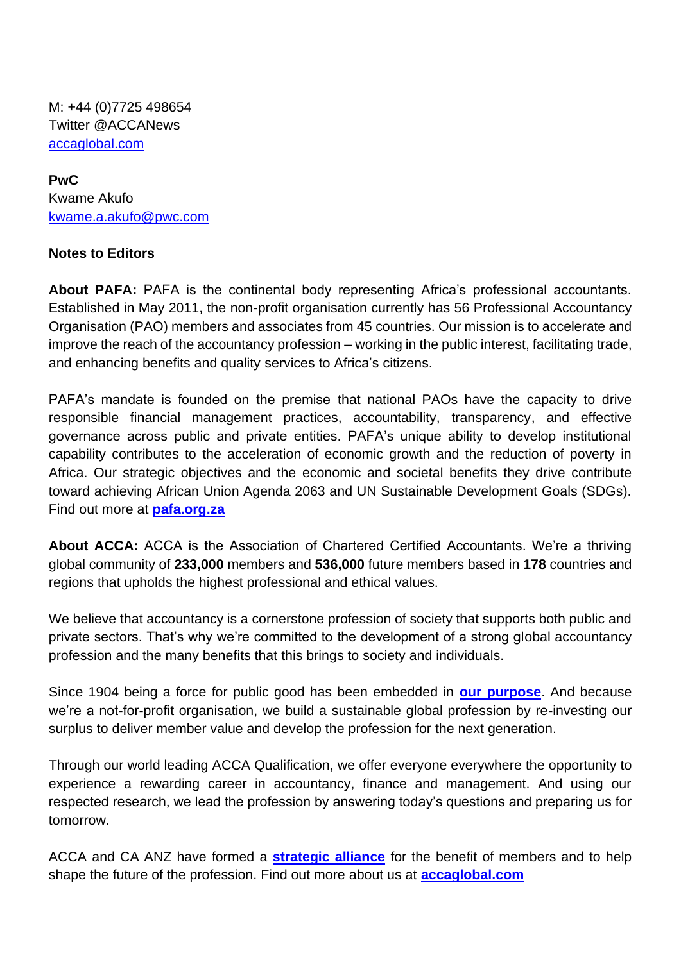M: +44 (0)7725 498654 Twitter @ACCANews [accaglobal.com](http://www.accaglobal.com/)

**PwC**  Kwame Akufo [kwame.a.akufo@pwc.com](mailto:kwame.a.akufo@pwc.com)

#### **Notes to Editors**

**About PAFA:** PAFA is the continental body representing Africa's professional accountants. Established in May 2011, the non-profit organisation currently has 56 Professional Accountancy Organisation (PAO) members and associates from 45 countries. Our mission is to accelerate and improve the reach of the accountancy profession – working in the public interest, facilitating trade, and enhancing benefits and quality services to Africa's citizens.

PAFA's mandate is founded on the premise that national PAOs have the capacity to drive responsible financial management practices, accountability, transparency, and effective governance across public and private entities. PAFA's unique ability to develop institutional capability contributes to the acceleration of economic growth and the reduction of poverty in Africa. Our strategic objectives and the economic and societal benefits they drive contribute toward achieving African Union Agenda 2063 and UN Sustainable Development Goals (SDGs). Find out more at **[pafa.org.za](https://pafa.org.za/)**

**About ACCA:** ACCA is the Association of Chartered Certified Accountants. We're a thriving global community of **233,000** members and **536,000** future members based in **178** countries and regions that upholds the highest professional and ethical values.

We believe that accountancy is a cornerstone profession of society that supports both public and private sectors. That's why we're committed to the development of a strong global accountancy profession and the many benefits that this brings to society and individuals.

Since 1904 being a force for public good has been embedded in **[our purpose](https://www.accaglobal.com/uk/en/about-us/our-purpose-and-values.html)**. And because we're a not-for-profit organisation, we build a sustainable global profession by re-investing our surplus to deliver member value and develop the profession for the next generation.

Through our world leading ACCA Qualification, we offer everyone everywhere the opportunity to experience a rewarding career in accountancy, finance and management. And using our respected research, we lead the profession by answering today's questions and preparing us for tomorrow.

ACCA and CA ANZ have formed a **[strategic alliance](https://gbr01.safelinks.protection.outlook.com/?url=https%3A%2F%2Fwww.accaglobal.com%2Fgb%2Fen%2Fmember%2Fmembership%2Fmutual-memberships%2Facca-caanz.html&data=04%7C01%7CHelen.Thompson%40accaglobal.com%7Cf45040884f8b46dc3d3b08d96df30fa0%7Cf2e7de2c59ba49fe8c684cd333f96b01%7C0%7C0%7C637661712961616035%7CUnknown%7CTWFpbGZsb3d8eyJWIjoiMC4wLjAwMDAiLCJQIjoiV2luMzIiLCJBTiI6Ik1haWwiLCJXVCI6Mn0%3D%7C1000&sdata=sg91JWnqwcu5Z6g8WRVPIPl33tRPpjElRcEOifJrGbE%3D&reserved=0)** for the benefit of members and to help shape the future of the profession. Find out more about us at **[accaglobal.com](http://www.accaglobal.com/)**